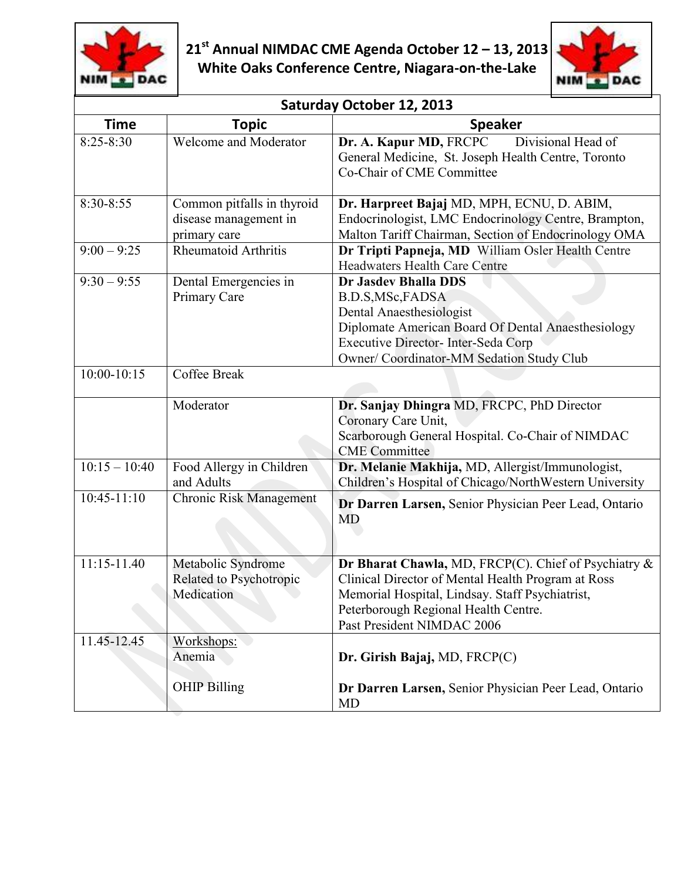



| Saturday October 12, 2013 |                                                                     |                                                                                                                                                                                                                                     |  |  |
|---------------------------|---------------------------------------------------------------------|-------------------------------------------------------------------------------------------------------------------------------------------------------------------------------------------------------------------------------------|--|--|
| <b>Time</b>               | <b>Topic</b>                                                        | <b>Speaker</b>                                                                                                                                                                                                                      |  |  |
| $8:25 - 8:30$             | Welcome and Moderator                                               | Divisional Head of<br>Dr. A. Kapur MD, FRCPC<br>General Medicine, St. Joseph Health Centre, Toronto<br>Co-Chair of CME Committee                                                                                                    |  |  |
| 8:30-8:55                 | Common pitfalls in thyroid<br>disease management in<br>primary care | Dr. Harpreet Bajaj MD, MPH, ECNU, D. ABIM,<br>Endocrinologist, LMC Endocrinology Centre, Brampton,<br>Malton Tariff Chairman, Section of Endocrinology OMA                                                                          |  |  |
| $9:00 - 9:25$             | <b>Rheumatoid Arthritis</b>                                         | Dr Tripti Papneja, MD William Osler Health Centre<br><b>Headwaters Health Care Centre</b>                                                                                                                                           |  |  |
| $9:30 - 9:55$             | Dental Emergencies in<br>Primary Care                               | Dr Jasdev Bhalla DDS<br>B.D.S, MSc, FADSA<br>Dental Anaesthesiologist<br>Diplomate American Board Of Dental Anaesthesiology<br>Executive Director- Inter-Seda Corp<br>Owner/ Coordinator-MM Sedation Study Club                     |  |  |
| 10:00-10:15               | Coffee Break                                                        |                                                                                                                                                                                                                                     |  |  |
|                           | Moderator                                                           | Dr. Sanjay Dhingra MD, FRCPC, PhD Director<br>Coronary Care Unit,<br>Scarborough General Hospital. Co-Chair of NIMDAC<br><b>CME</b> Committee                                                                                       |  |  |
| $10:15 - 10:40$           | Food Allergy in Children<br>and Adults                              | Dr. Melanie Makhija, MD, Allergist/Immunologist,<br>Children's Hospital of Chicago/NorthWestern University                                                                                                                          |  |  |
| $10:45-11:10$             | <b>Chronic Risk Management</b>                                      | Dr Darren Larsen, Senior Physician Peer Lead, Ontario<br><b>MD</b>                                                                                                                                                                  |  |  |
| $11:15-11.40$             | Metabolic Syndrome<br>Related to Psychotropic<br>Medication         | Dr Bharat Chawla, MD, FRCP(C). Chief of Psychiatry &<br>Clinical Director of Mental Health Program at Ross<br>Memorial Hospital, Lindsay. Staff Psychiatrist,<br>Peterborough Regional Health Centre.<br>Past President NIMDAC 2006 |  |  |
| 11.45-12.45               | Workshops:<br>Anemia                                                | Dr. Girish Bajaj, MD, FRCP(C)                                                                                                                                                                                                       |  |  |
|                           | <b>OHIP Billing</b>                                                 | Dr Darren Larsen, Senior Physician Peer Lead, Ontario<br><b>MD</b>                                                                                                                                                                  |  |  |